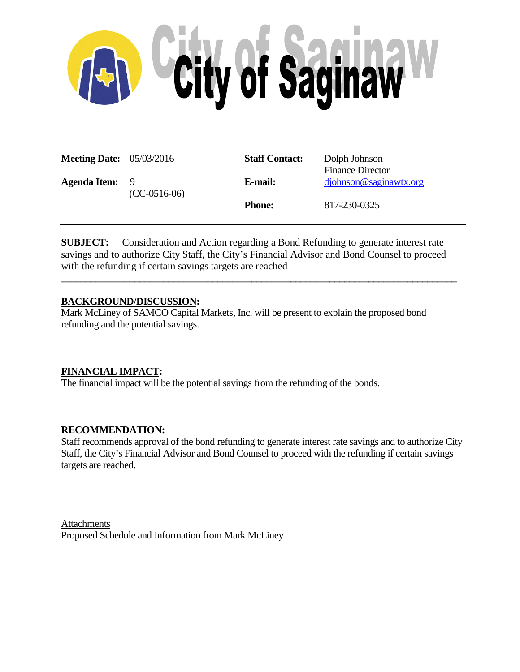

| <b>Meeting Date:</b> 05/03/2016 |                      | <b>Staff Contact:</b> | Dolph Johnson<br><b>Finance Director</b> |  |  |
|---------------------------------|----------------------|-----------------------|------------------------------------------|--|--|
| <b>Agenda Item:</b>             | -9<br>$(CC-0516-06)$ | E-mail:               | diphnson@saginawtx.org                   |  |  |
|                                 |                      | <b>Phone:</b>         | 817-230-0325                             |  |  |

**SUBJECT:** Consideration and Action regarding a Bond Refunding to generate interest rate savings and to authorize City Staff, the City's Financial Advisor and Bond Counsel to proceed with the refunding if certain savings targets are reached

**\_\_\_\_\_\_\_\_\_\_\_\_\_\_\_\_\_\_\_\_\_\_\_\_\_\_\_\_\_\_\_\_\_\_\_\_\_\_\_\_\_\_\_\_\_\_\_\_\_\_\_\_\_\_\_\_\_\_\_\_\_\_\_\_\_\_\_\_\_\_\_\_\_\_\_\_\_\_\_\_\_**

## **BACKGROUND/DISCUSSION:**

Mark McLiney of SAMCO Capital Markets, Inc. will be present to explain the proposed bond refunding and the potential savings.

## **FINANCIAL IMPACT:**

The financial impact will be the potential savings from the refunding of the bonds.

## **RECOMMENDATION:**

Staff recommends approval of the bond refunding to generate interest rate savings and to authorize City Staff, the City's Financial Advisor and Bond Counsel to proceed with the refunding if certain savings targets are reached.

**Attachments** Proposed Schedule and Information from Mark McLiney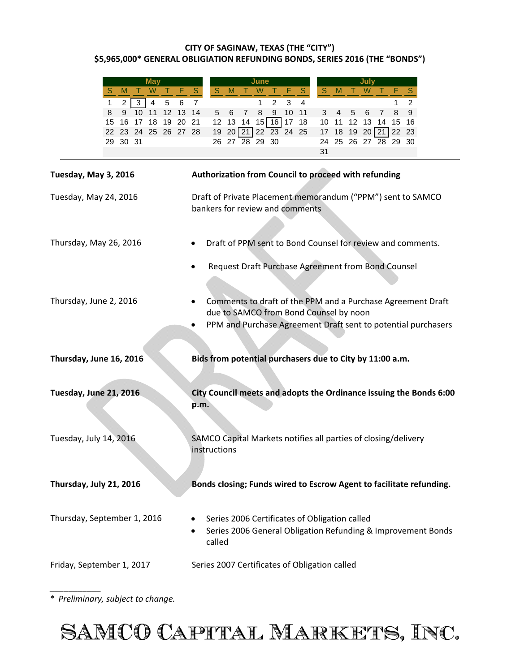### **CITY OF SAGINAW, TEXAS (THE "CITY") \$5,965,000\* GENERAL OBLIGIATION REFUNDING BONDS, SERIES 2016 (THE "BONDS")**

| May                                                               | June<br>July                                                                              |  |  |  |  |  |  |
|-------------------------------------------------------------------|-------------------------------------------------------------------------------------------|--|--|--|--|--|--|
| M<br>W<br>s                                                       | $S_{\parallel}$<br>M<br>S<br>M<br>S<br>W<br>W<br>S<br>s                                   |  |  |  |  |  |  |
| $\overline{4}$<br>2 <sup>1</sup><br>3 <sup>1</sup><br>5<br>6<br>1 | $\overline{7}$<br>$\mathbf{1}$<br>2<br>3<br>4<br>2<br>1                                   |  |  |  |  |  |  |
| 10 11<br>12 13<br>8<br>9                                          | 10 11<br>8<br>9<br>14<br>5<br>6<br>$\overline{7}$<br>8<br>9<br>3<br>5<br>6<br>4<br>7      |  |  |  |  |  |  |
| 18<br>19 20<br>15<br>16<br>17                                     | $15$ 16 17<br>18<br>12 <sup>7</sup><br>21<br>12 13 14<br>10<br>11<br>13<br>15<br>14<br>16 |  |  |  |  |  |  |
| 24 25 26 27 28<br>22<br>23                                        | 19<br>20 21 22 23 24 25<br>19 20 21 22 23<br>18<br>17                                     |  |  |  |  |  |  |
| 30 31<br>29 -                                                     | 26 27 28 29 30<br>25 26 27 28 29 30<br>24                                                 |  |  |  |  |  |  |
|                                                                   | 31                                                                                        |  |  |  |  |  |  |
| Tuesday, May 3, 2016                                              | Authorization from Council to proceed with refunding                                      |  |  |  |  |  |  |
| Tuesday, May 24, 2016                                             | Draft of Private Placement memorandum ("PPM") sent to SAMCO                               |  |  |  |  |  |  |
|                                                                   | bankers for review and comments                                                           |  |  |  |  |  |  |
|                                                                   |                                                                                           |  |  |  |  |  |  |
|                                                                   |                                                                                           |  |  |  |  |  |  |
| Thursday, May 26, 2016                                            | Draft of PPM sent to Bond Counsel for review and comments.                                |  |  |  |  |  |  |
|                                                                   | Request Draft Purchase Agreement from Bond Counsel                                        |  |  |  |  |  |  |
|                                                                   |                                                                                           |  |  |  |  |  |  |
|                                                                   |                                                                                           |  |  |  |  |  |  |
| Thursday, June 2, 2016                                            | Comments to draft of the PPM and a Purchase Agreement Draft                               |  |  |  |  |  |  |
|                                                                   | due to SAMCO from Bond Counsel by noon                                                    |  |  |  |  |  |  |
| PPM and Purchase Agreement Draft sent to potential purchasers     |                                                                                           |  |  |  |  |  |  |
|                                                                   |                                                                                           |  |  |  |  |  |  |
| Thursday, June 16, 2016                                           | Bids from potential purchasers due to City by 11:00 a.m.                                  |  |  |  |  |  |  |
|                                                                   |                                                                                           |  |  |  |  |  |  |
| Tuesday, June 21, 2016                                            | City Council meets and adopts the Ordinance issuing the Bonds 6:00                        |  |  |  |  |  |  |
|                                                                   | p.m.                                                                                      |  |  |  |  |  |  |
|                                                                   |                                                                                           |  |  |  |  |  |  |
|                                                                   |                                                                                           |  |  |  |  |  |  |
| Tuesday, July 14, 2016                                            | SAMCO Capital Markets notifies all parties of closing/delivery                            |  |  |  |  |  |  |
|                                                                   | instructions                                                                              |  |  |  |  |  |  |
|                                                                   |                                                                                           |  |  |  |  |  |  |
|                                                                   |                                                                                           |  |  |  |  |  |  |
| Thursday, July 21, 2016                                           | Bonds closing; Funds wired to Escrow Agent to facilitate refunding.                       |  |  |  |  |  |  |
|                                                                   |                                                                                           |  |  |  |  |  |  |
| Thursday, September 1, 2016                                       |                                                                                           |  |  |  |  |  |  |
|                                                                   | Series 2006 Certificates of Obligation called                                             |  |  |  |  |  |  |
|                                                                   | Series 2006 General Obligation Refunding & Improvement Bonds                              |  |  |  |  |  |  |
|                                                                   | called                                                                                    |  |  |  |  |  |  |
|                                                                   |                                                                                           |  |  |  |  |  |  |
| Friday, September 1, 2017                                         | Series 2007 Certificates of Obligation called                                             |  |  |  |  |  |  |

*\* Preliminary, subject to change.*

\_\_\_\_\_\_\_\_\_\_\_

SAMCO CAPITAL MARKETS, INC.